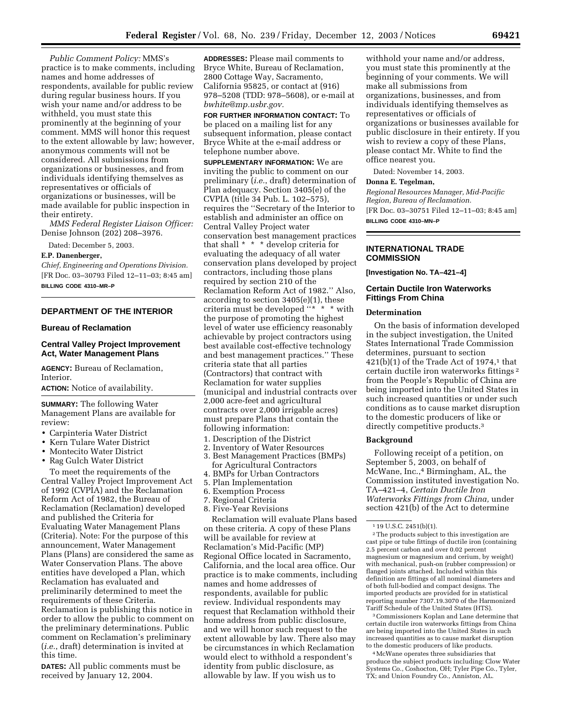*Public Comment Policy:* MMS's practice is to make comments, including names and home addresses of respondents, available for public review during regular business hours. If you wish your name and/or address to be withheld, you must state this prominently at the beginning of your comment. MMS will honor this request to the extent allowable by law; however, anonymous comments will not be considered. All submissions from organizations or businesses, and from individuals identifying themselves as representatives or officials of organizations or businesses, will be made available for public inspection in their entirety.

*MMS Federal Register Liaison Officer:* Denise Johnson (202) 208–3976.

Dated: December 5, 2003.

#### **E.P. Danenberger,**

*Chief, Engineering and Operations Division.* [FR Doc. 03–30793 Filed 12–11–03; 8:45 am] **BILLING CODE 4310–MR–P**

## **DEPARTMENT OF THE INTERIOR**

## **Bureau of Reclamation**

#### **Central Valley Project Improvement Act, Water Management Plans**

**AGENCY:** Bureau of Reclamation, Interior.

**ACTION:** Notice of availability.

**SUMMARY:** The following Water Management Plans are available for review:

- Carpinteria Water District
- Kern Tulare Water District
- Montecito Water District
- Rag Gulch Water District

To meet the requirements of the Central Valley Project Improvement Act of 1992 (CVPIA) and the Reclamation Reform Act of 1982, the Bureau of Reclamation (Reclamation) developed and published the Criteria for Evaluating Water Management Plans (Criteria). Note: For the purpose of this announcement, Water Management Plans (Plans) are considered the same as Water Conservation Plans. The above entities have developed a Plan, which Reclamation has evaluated and preliminarily determined to meet the requirements of these Criteria. Reclamation is publishing this notice in order to allow the public to comment on the preliminary determinations. Public comment on Reclamation's preliminary (*i.e.*, draft) determination is invited at this time.

**DATES:** All public comments must be received by January 12, 2004.

**ADDRESSES:** Please mail comments to Bryce White, Bureau of Reclamation, 2800 Cottage Way, Sacramento, California 95825, or contact at (916) 978–5208 (TDD: 978–5608), or e-mail at *bwhite@mp.usbr.gov.*

**FOR FURTHER INFORMATION CONTACT:** To be placed on a mailing list for any subsequent information, please contact Bryce White at the e-mail address or telephone number above.

**SUPPLEMENTARY INFORMATION:** We are inviting the public to comment on our preliminary (*i.e.*, draft) determination of Plan adequacy. Section 3405(e) of the CVPIA (title 34 Pub. L. 102–575), requires the ''Secretary of the Interior to establish and administer an office on Central Valley Project water conservation best management practices that shall \* \* \* develop criteria for evaluating the adequacy of all water conservation plans developed by project contractors, including those plans required by section 210 of the Reclamation Reform Act of 1982.'' Also, according to section 3405(e)(1), these criteria must be developed ''\* \* \* with the purpose of promoting the highest level of water use efficiency reasonably achievable by project contractors using best available cost-effective technology and best management practices.'' These criteria state that all parties (Contractors) that contract with Reclamation for water supplies (municipal and industrial contracts over 2,000 acre-feet and agricultural contracts over 2,000 irrigable acres) must prepare Plans that contain the following information:

- 1. Description of the District
- 2. Inventory of Water Resources
- 3. Best Management Practices (BMPs) for Agricultural Contractors
- 4. BMPs for Urban Contractors
- 5. Plan Implementation
- 6. Exemption Process
- 7. Regional Criteria
- 8. Five-Year Revisions

Reclamation will evaluate Plans based on these criteria. A copy of these Plans will be available for review at Reclamation's Mid-Pacific (MP) Regional Office located in Sacramento, California, and the local area office. Our practice is to make comments, including names and home addresses of respondents, available for public review. Individual respondents may request that Reclamation withhold their home address from public disclosure, and we will honor such request to the extent allowable by law. There also may be circumstances in which Reclamation would elect to withhold a respondent's identity from public disclosure, as allowable by law. If you wish us to

withhold your name and/or address, you must state this prominently at the beginning of your comments. We will make all submissions from organizations, businesses, and from individuals identifying themselves as representatives or officials of organizations or businesses available for public disclosure in their entirety. If you wish to review a copy of these Plans, please contact Mr. White to find the office nearest you.

Dated: November 14, 2003.

#### **Donna E. Tegelman,**

*Regional Resources Manager, Mid-Pacific Region, Bureau of Reclamation.* [FR Doc. 03–30751 Filed 12–11–03; 8:45 am] **BILLING CODE 4310–MN–P**

#### **INTERNATIONAL TRADE COMMISSION**

**[Investigation No. TA–421–4]** 

#### **Certain Ductile Iron Waterworks Fittings From China**

#### **Determination**

On the basis of information developed in the subject investigation, the United States International Trade Commission determines, pursuant to section  $421(b)(1)$  of the Trade Act of 1974,<sup>1</sup> that certain ductile iron waterworks fittings 2 from the People's Republic of China are being imported into the United States in such increased quantities or under such conditions as to cause market disruption to the domestic producers of like or directly competitive products.<sup>3</sup>

#### **Background**

Following receipt of a petition, on September 5, 2003, on behalf of McWane, Inc.,<sup>4</sup> Birmingham, AL, the Commission instituted investigation No. TA–421–4, *Certain Ductile Iron Waterworks Fittings from China,* under section 421(b) of the Act to determine

2The products subject to this investigation are cast pipe or tube fittings of ductile iron (containing 2.5 percent carbon and over 0.02 percent magnesium or magnesium and cerium, by weight) with mechanical, push-on (rubber compression) or flanged joints attached. Included within this definition are fittings of all nominal diameters and of both full-bodied and compact designs. The imported products are provided for in statistical reporting number 7307.19.3070 of the Harmonized Tariff Schedule of the United States (HTS).

3Commissioners Koplan and Lane determine that certain ductile iron waterworks fittings from China are being imported into the United States in such increased quantities as to cause market disruption to the domestic producers of like products.

4McWane operates three subsidiaries that produce the subject products including: Clow Water Systems Co., Coshocton, OH; Tyler Pipe Co., Tyler, TX; and Union Foundry Co., Anniston, AL.

<sup>1</sup> 19 U.S.C. 2451(b)(1).